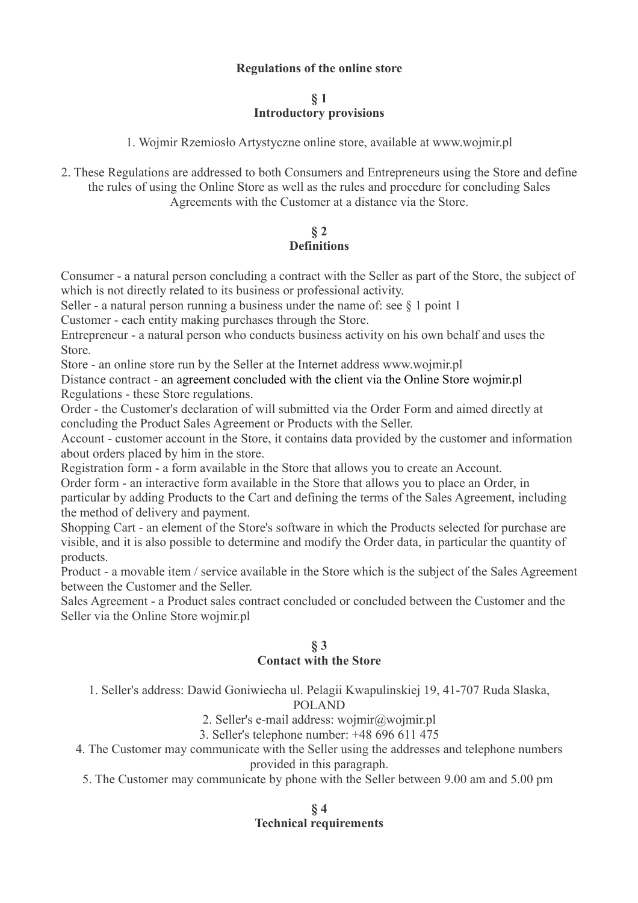#### **Regulations of the online store**

#### **§ 1**

## **Introductory provisions**

1. Wojmir Rzemiosło Artystyczne online store, available at www.wojmir.pl

2. These Regulations are addressed to both Consumers and Entrepreneurs using the Store and define the rules of using the Online Store as well as the rules and procedure for concluding Sales Agreements with the Customer at a distance via the Store.

### **§ 2 Definitions**

Consumer - a natural person concluding a contract with the Seller as part of the Store, the subject of which is not directly related to its business or professional activity.

Seller - a natural person running a business under the name of: see  $\S$  1 point 1

Customer - each entity making purchases through the Store.

Entrepreneur - a natural person who conducts business activity on his own behalf and uses the Store.

Store - an online store run by the Seller at the Internet address www.wojmir.pl

Distance contract - an agreement concluded with the client via the Online Store wojmir.pl Regulations - these Store regulations.

Order - the Customer's declaration of will submitted via the Order Form and aimed directly at concluding the Product Sales Agreement or Products with the Seller.

Account - customer account in the Store, it contains data provided by the customer and information about orders placed by him in the store.

Registration form - a form available in the Store that allows you to create an Account.

Order form - an interactive form available in the Store that allows you to place an Order, in

particular by adding Products to the Cart and defining the terms of the Sales Agreement, including the method of delivery and payment.

Shopping Cart - an element of the Store's software in which the Products selected for purchase are visible, and it is also possible to determine and modify the Order data, in particular the quantity of products.

Product - a movable item / service available in the Store which is the subject of the Sales Agreement between the Customer and the Seller.

Sales Agreement - a Product sales contract concluded or concluded between the Customer and the Seller via the Online Store wojmir.pl

#### **§ 3 Contact with the Store**

1. Seller's address: Dawid Goniwiecha ul. Pelagii Kwapulinskiej 19, 41-707 Ruda Slaska,

#### POLAND

2. Seller's e-mail address: wojmir@wojmir.pl

3. Seller's telephone number: +48 696 611 475

4. The Customer may communicate with the Seller using the addresses and telephone numbers provided in this paragraph.

5. The Customer may communicate by phone with the Seller between 9.00 am and 5.00 pm

## **§ 4 Technical requirements**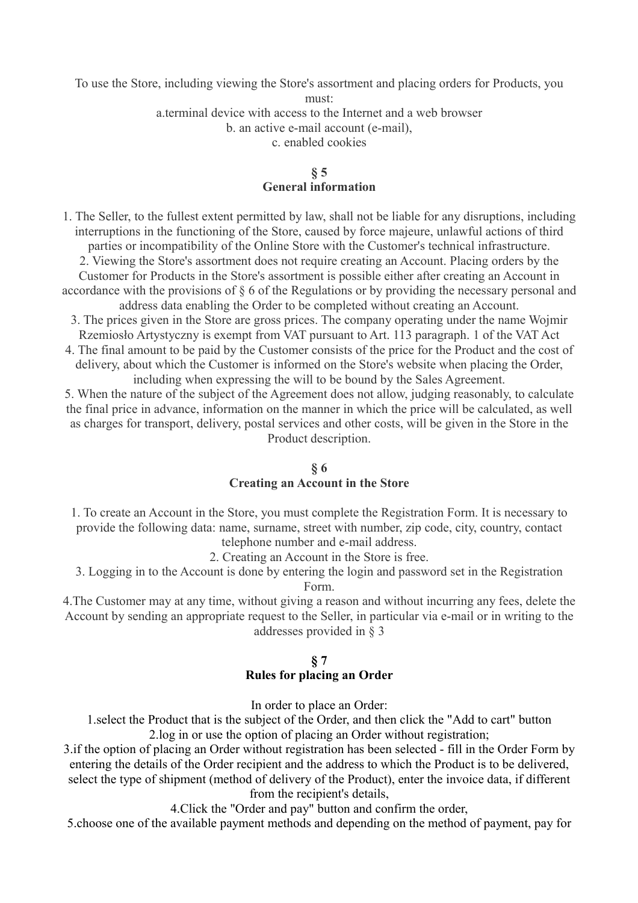To use the Store, including viewing the Store's assortment and placing orders for Products, you must: a.terminal device with access to the Internet and a web browser b. an active e-mail account (e-mail),

c. enabled cookies

# **§ 5 General information**

1. The Seller, to the fullest extent permitted by law, shall not be liable for any disruptions, including interruptions in the functioning of the Store, caused by force majeure, unlawful actions of third parties or incompatibility of the Online Store with the Customer's technical infrastructure. 2. Viewing the Store's assortment does not require creating an Account. Placing orders by the

Customer for Products in the Store's assortment is possible either after creating an Account in accordance with the provisions of § 6 of the Regulations or by providing the necessary personal and

address data enabling the Order to be completed without creating an Account.

3. The prices given in the Store are gross prices. The company operating under the name Wojmir Rzemiosło Artystyczny is exempt from VAT pursuant to Art. 113 paragraph. 1 of the VAT Act

4. The final amount to be paid by the Customer consists of the price for the Product and the cost of delivery, about which the Customer is informed on the Store's website when placing the Order, including when expressing the will to be bound by the Sales Agreement.

5. When the nature of the subject of the Agreement does not allow, judging reasonably, to calculate the final price in advance, information on the manner in which the price will be calculated, as well as charges for transport, delivery, postal services and other costs, will be given in the Store in the Product description.

#### **§ 6**

### **Creating an Account in the Store**

1. To create an Account in the Store, you must complete the Registration Form. It is necessary to provide the following data: name, surname, street with number, zip code, city, country, contact telephone number and e-mail address.

2. Creating an Account in the Store is free.

3. Logging in to the Account is done by entering the login and password set in the Registration

Form.

4.The Customer may at any time, without giving a reason and without incurring any fees, delete the Account by sending an appropriate request to the Seller, in particular via e-mail or in writing to the addresses provided in § 3

#### **§ 7 Rules for placing an Order**

In order to place an Order:

1.select the Product that is the subject of the Order, and then click the "Add to cart" button 2.log in or use the option of placing an Order without registration;

3.if the option of placing an Order without registration has been selected - fill in the Order Form by entering the details of the Order recipient and the address to which the Product is to be delivered, select the type of shipment (method of delivery of the Product), enter the invoice data, if different from the recipient's details,

4.Click the "Order and pay" button and confirm the order,

5.choose one of the available payment methods and depending on the method of payment, pay for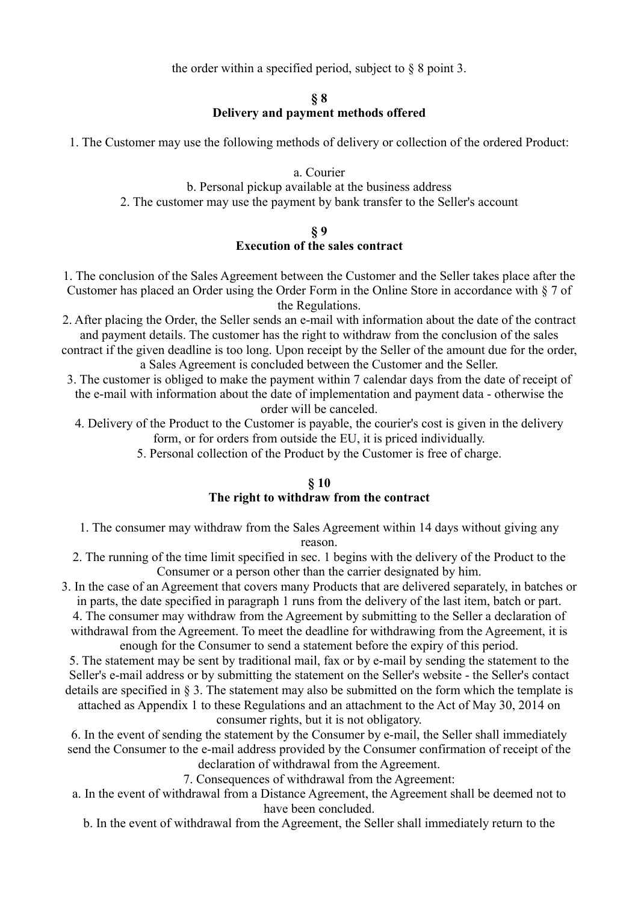the order within a specified period, subject to  $\S$  8 point 3.

**§ 8**

**Delivery and payment methods offered**

1. The Customer may use the following methods of delivery or collection of the ordered Product:

a. Courier

b. Personal pickup available at the business address 2. The customer may use the payment by bank transfer to the Seller's account

#### **§ 9**

# **Execution of the sales contract**

- 1. The conclusion of the Sales Agreement between the Customer and the Seller takes place after the Customer has placed an Order using the Order Form in the Online Store in accordance with § 7 of the Regulations.
- 2. After placing the Order, the Seller sends an e-mail with information about the date of the contract and payment details. The customer has the right to withdraw from the conclusion of the sales
- contract if the given deadline is too long. Upon receipt by the Seller of the amount due for the order, a Sales Agreement is concluded between the Customer and the Seller.
- 3. The customer is obliged to make the payment within 7 calendar days from the date of receipt of the e-mail with information about the date of implementation and payment data - otherwise the order will be canceled.
	- 4. Delivery of the Product to the Customer is payable, the courier's cost is given in the delivery form, or for orders from outside the EU, it is priced individually.
		- 5. Personal collection of the Product by the Customer is free of charge.

#### **§ 10 The right to withdraw from the contract**

- 1. The consumer may withdraw from the Sales Agreement within 14 days without giving any reason.
- 2. The running of the time limit specified in sec. 1 begins with the delivery of the Product to the Consumer or a person other than the carrier designated by him.
- 3. In the case of an Agreement that covers many Products that are delivered separately, in batches or in parts, the date specified in paragraph 1 runs from the delivery of the last item, batch or part. 4. The consumer may withdraw from the Agreement by submitting to the Seller a declaration of

withdrawal from the Agreement. To meet the deadline for withdrawing from the Agreement, it is enough for the Consumer to send a statement before the expiry of this period.

5. The statement may be sent by traditional mail, fax or by e-mail by sending the statement to the Seller's e-mail address or by submitting the statement on the Seller's website - the Seller's contact details are specified in § 3. The statement may also be submitted on the form which the template is attached as Appendix 1 to these Regulations and an attachment to the Act of May 30, 2014 on

consumer rights, but it is not obligatory.

6. In the event of sending the statement by the Consumer by e-mail, the Seller shall immediately send the Consumer to the e-mail address provided by the Consumer confirmation of receipt of the declaration of withdrawal from the Agreement.

- 7. Consequences of withdrawal from the Agreement:
- a. In the event of withdrawal from a Distance Agreement, the Agreement shall be deemed not to have been concluded.
	- b. In the event of withdrawal from the Agreement, the Seller shall immediately return to the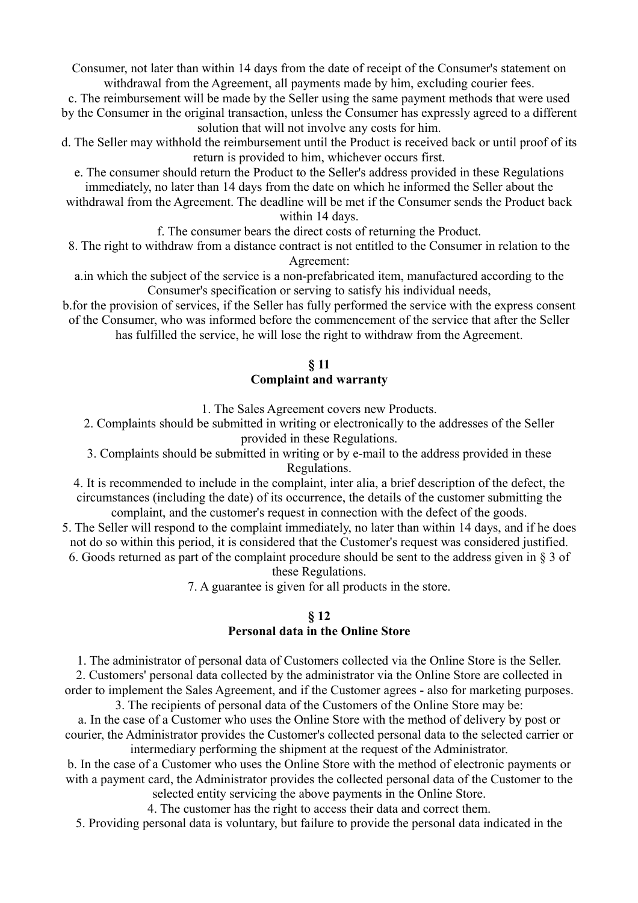Consumer, not later than within 14 days from the date of receipt of the Consumer's statement on withdrawal from the Agreement, all payments made by him, excluding courier fees.

c. The reimbursement will be made by the Seller using the same payment methods that were used by the Consumer in the original transaction, unless the Consumer has expressly agreed to a different solution that will not involve any costs for him.

d. The Seller may withhold the reimbursement until the Product is received back or until proof of its return is provided to him, whichever occurs first.

e. The consumer should return the Product to the Seller's address provided in these Regulations immediately, no later than 14 days from the date on which he informed the Seller about the

withdrawal from the Agreement. The deadline will be met if the Consumer sends the Product back within 14 days.

f. The consumer bears the direct costs of returning the Product.

8. The right to withdraw from a distance contract is not entitled to the Consumer in relation to the Agreement:

a.in which the subject of the service is a non-prefabricated item, manufactured according to the Consumer's specification or serving to satisfy his individual needs,

b.for the provision of services, if the Seller has fully performed the service with the express consent of the Consumer, who was informed before the commencement of the service that after the Seller has fulfilled the service, he will lose the right to withdraw from the Agreement.

### **§ 11 Complaint and warranty**

1. The Sales Agreement covers new Products.

- 2. Complaints should be submitted in writing or electronically to the addresses of the Seller provided in these Regulations.
- 3. Complaints should be submitted in writing or by e-mail to the address provided in these Regulations.

4. It is recommended to include in the complaint, inter alia, a brief description of the defect, the circumstances (including the date) of its occurrence, the details of the customer submitting the complaint, and the customer's request in connection with the defect of the goods.

5. The Seller will respond to the complaint immediately, no later than within 14 days, and if he does not do so within this period, it is considered that the Customer's request was considered justified.

6. Goods returned as part of the complaint procedure should be sent to the address given in § 3 of these Regulations.

7. A guarantee is given for all products in the store.

#### **§ 12**

# **Personal data in the Online Store**

1. The administrator of personal data of Customers collected via the Online Store is the Seller. 2. Customers' personal data collected by the administrator via the Online Store are collected in order to implement the Sales Agreement, and if the Customer agrees - also for marketing purposes.

3. The recipients of personal data of the Customers of the Online Store may be:

a. In the case of a Customer who uses the Online Store with the method of delivery by post or courier, the Administrator provides the Customer's collected personal data to the selected carrier or intermediary performing the shipment at the request of the Administrator.

b. In the case of a Customer who uses the Online Store with the method of electronic payments or with a payment card, the Administrator provides the collected personal data of the Customer to the selected entity servicing the above payments in the Online Store.

4. The customer has the right to access their data and correct them.

5. Providing personal data is voluntary, but failure to provide the personal data indicated in the